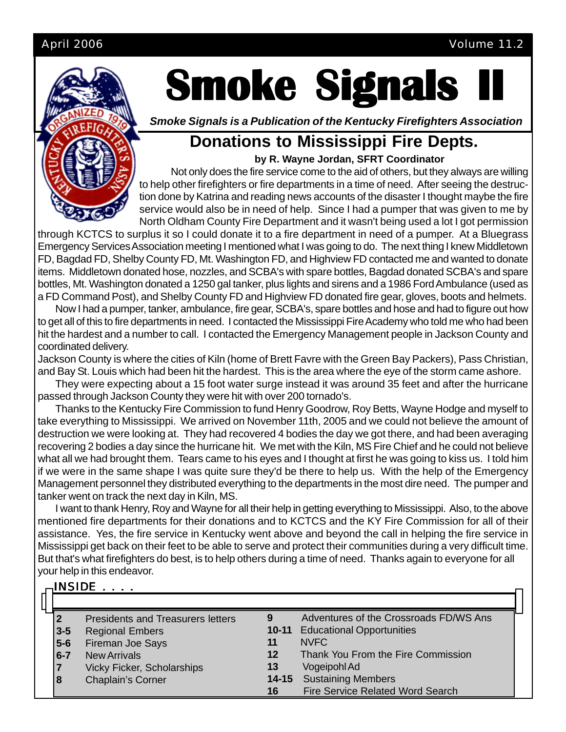

INGINE

# **Smoke Signals**

*Smoke Signals is a Publication of the Kentucky Firefighters Association*

# **Donations to Mississippi Fire Depts.**

**by R. Wayne Jordan, SFRT Coordinator**

Not only does the fire service come to the aid of others, but they always are willing to help other firefighters or fire departments in a time of need. After seeing the destruction done by Katrina and reading news accounts of the disaster I thought maybe the fire service would also be in need of help. Since I had a pumper that was given to me by North Oldham County Fire Department and it wasn't being used a lot I got permission

through KCTCS to surplus it so I could donate it to a fire department in need of a pumper. At a Bluegrass Emergency Services Association meeting I mentioned what I was going to do. The next thing I knew Middletown FD, Bagdad FD, Shelby County FD, Mt. Washington FD, and Highview FD contacted me and wanted to donate items. Middletown donated hose, nozzles, and SCBA's with spare bottles, Bagdad donated SCBA's and spare bottles, Mt. Washington donated a 1250 gal tanker, plus lights and sirens and a 1986 Ford Ambulance (used as a FD Command Post), and Shelby County FD and Highview FD donated fire gear, gloves, boots and helmets.

Now I had a pumper, tanker, ambulance, fire gear, SCBA's, spare bottles and hose and had to figure out how to get all of this to fire departments in need. I contacted the Mississippi Fire Academy who told me who had been hit the hardest and a number to call. I contacted the Emergency Management people in Jackson County and coordinated delivery.

Jackson County is where the cities of Kiln (home of Brett Favre with the Green Bay Packers), Pass Christian, and Bay St. Louis which had been hit the hardest. This is the area where the eye of the storm came ashore.

They were expecting about a 15 foot water surge instead it was around 35 feet and after the hurricane passed through Jackson County they were hit with over 200 tornado's.

Thanks to the Kentucky Fire Commission to fund Henry Goodrow, Roy Betts, Wayne Hodge and myself to take everything to Mississippi. We arrived on November 11th, 2005 and we could not believe the amount of destruction we were looking at. They had recovered 4 bodies the day we got there, and had been averaging recovering 2 bodies a day since the hurricane hit. We met with the Kiln, MS Fire Chief and he could not believe what all we had brought them. Tears came to his eyes and I thought at first he was going to kiss us. I told him if we were in the same shape I was quite sure they'd be there to help us. With the help of the Emergency Management personnel they distributed everything to the departments in the most dire need. The pumper and tanker went on track the next day in Kiln, MS.

I want to thank Henry, Roy and Wayne for all their help in getting everything to Mississippi. Also, to the above mentioned fire departments for their donations and to KCTCS and the KY Fire Commission for all of their assistance. Yes, the fire service in Kentucky went above and beyond the call in helping the fire service in Mississippi get back on their feet to be able to serve and protect their communities during a very difficult time. But that's what firefighters do best, is to help others during a time of need. Thanks again to everyone for all your help in this endeavor.

|   |         | -INƏIDE                                  |           |                                         |  |
|---|---------|------------------------------------------|-----------|-----------------------------------------|--|
| н |         |                                          |           |                                         |  |
|   |         | <b>Presidents and Treasurers letters</b> |           | Adventures of the Crossroads FD/WS Ans  |  |
|   | $3-5$   | <b>Regional Embers</b>                   | $10 - 11$ | <b>Educational Opportunities</b>        |  |
|   | $5-6$   | Fireman Joe Says                         |           | <b>NVFC</b>                             |  |
|   | $6 - 7$ | <b>New Arrivals</b>                      | $12 \,$   | Thank You From the Fire Commission      |  |
|   | 17      | <b>Vicky Ficker, Scholarships</b>        | 13        | Vogeipohl Ad                            |  |
|   | 8       | Chaplain's Corner                        | $14 - 15$ | <b>Sustaining Members</b>               |  |
|   |         |                                          | 16        | <b>Fire Service Related Word Search</b> |  |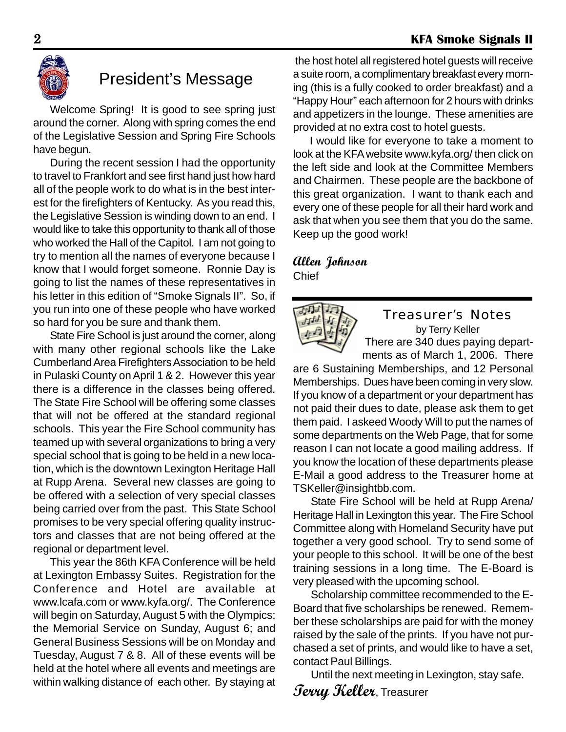

# President's Message

Welcome Spring! It is good to see spring just around the corner. Along with spring comes the end of the Legislative Session and Spring Fire Schools have begun.

During the recent session I had the opportunity to travel to Frankfort and see first hand just how hard all of the people work to do what is in the best interest for the firefighters of Kentucky. As you read this, the Legislative Session is winding down to an end. I would like to take this opportunity to thank all of those who worked the Hall of the Capitol. I am not going to try to mention all the names of everyone because I know that I would forget someone. Ronnie Day is going to list the names of these representatives in his letter in this edition of "Smoke Signals II". So, if you run into one of these people who have worked so hard for you be sure and thank them.

State Fire School is just around the corner, along with many other regional schools like the Lake Cumberland Area Firefighters Association to be held in Pulaski County on April 1 & 2. However this year there is a difference in the classes being offered. The State Fire School will be offering some classes that will not be offered at the standard regional schools. This year the Fire School community has teamed up with several organizations to bring a very special school that is going to be held in a new location, which is the downtown Lexington Heritage Hall at Rupp Arena. Several new classes are going to be offered with a selection of very special classes being carried over from the past. This State School promises to be very special offering quality instructors and classes that are not being offered at the regional or department level.

This year the 86th KFA Conference will be held at Lexington Embassy Suites. Registration for the Conference and Hotel are available at www.lcafa.com or www.kyfa.org/. The Conference will begin on Saturday, August 5 with the Olympics; the Memorial Service on Sunday, August 6; and General Business Sessions will be on Monday and Tuesday, August 7 & 8. All of these events will be held at the hotel where all events and meetings are within walking distance of each other. By staying at

 the host hotel all registered hotel guests will receive a suite room, a complimentary breakfast every morning (this is a fully cooked to order breakfast) and a "Happy Hour" each afternoon for 2 hours with drinks and appetizers in the lounge. These amenities are provided at no extra cost to hotel guests.

I would like for everyone to take a moment to look at the KFA website www.kyfa.org/ then click on the left side and look at the Committee Members and Chairmen. These people are the backbone of this great organization. I want to thank each and every one of these people for all their hard work and ask that when you see them that you do the same. Keep up the good work!

### **Allen Johnson** Chief



#### Treasurer's Notes by Terry Keller

There are 340 dues paying depart-

ments as of March 1, 2006. There are 6 Sustaining Memberships, and 12 Personal Memberships. Dues have been coming in very slow. If you know of a department or your department has not paid their dues to date, please ask them to get them paid. I askeed Woody Will to put the names of some departments on the Web Page, that for some reason I can not locate a good mailing address. If you know the location of these departments please E-Mail a good address to the Treasurer home at TSKeller@insightbb.com.

State Fire School will be held at Rupp Arena/ Heritage Hall in Lexington this year. The Fire School Committee along with Homeland Security have put together a very good school. Try to send some of your people to this school. It will be one of the best training sessions in a long time. The E-Board is very pleased with the upcoming school.

Scholarship committee recommended to the E-Board that five scholarships be renewed. Remember these scholarships are paid for with the money raised by the sale of the prints. If you have not purchased a set of prints, and would like to have a set, contact Paul Billings.

Until the next meeting in Lexington, stay safe.

**Terry Keller**, Treasurer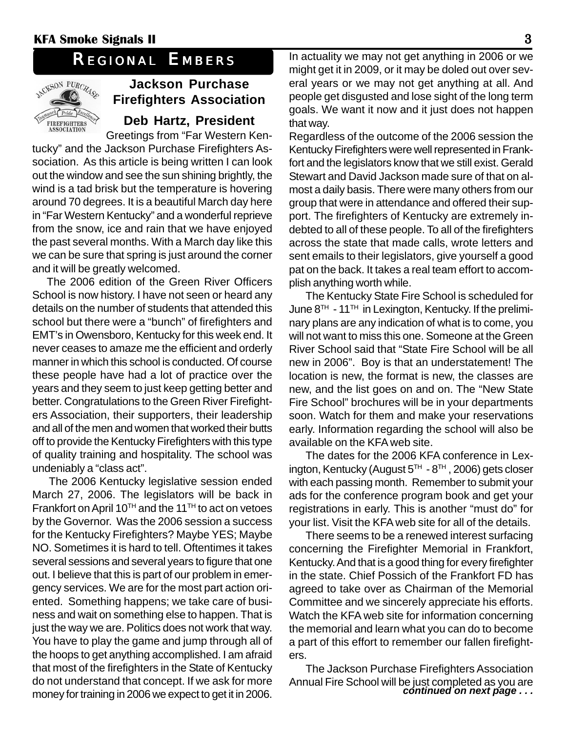# *REGIONAL EMBERS*



# **Jackson Purchase Firefighters Association**

# **Deb Hartz, President**

Greetings from "Far Western Kentucky" and the Jackson Purchase Firefighters Association. As this article is being written I can look out the window and see the sun shining brightly, the wind is a tad brisk but the temperature is hovering around 70 degrees. It is a beautiful March day here in "Far Western Kentucky" and a wonderful reprieve from the snow, ice and rain that we have enjoyed the past several months. With a March day like this we can be sure that spring is just around the corner and it will be greatly welcomed.

The 2006 edition of the Green River Officers School is now history. I have not seen or heard any details on the number of students that attended this school but there were a "bunch" of firefighters and EMT's in Owensboro, Kentucky for this week end. It never ceases to amaze me the efficient and orderly manner in which this school is conducted. Of course these people have had a lot of practice over the years and they seem to just keep getting better and better. Congratulations to the Green River Firefighters Association, their supporters, their leadership and all of the men and women that worked their butts off to provide the Kentucky Firefighters with this type of quality training and hospitality. The school was undeniably a "class act".

The 2006 Kentucky legislative session ended March 27, 2006. The legislators will be back in Frankfort on April 10<sup>TH</sup> and the 11<sup>TH</sup> to act on vetoes by the Governor. Was the 2006 session a success for the Kentucky Firefighters? Maybe YES; Maybe NO. Sometimes it is hard to tell. Oftentimes it takes several sessions and several years to figure that one out. I believe that this is part of our problem in emergency services. We are for the most part action oriented. Something happens; we take care of business and wait on something else to happen. That is just the way we are. Politics does not work that way. You have to play the game and jump through all of the hoops to get anything accomplished. I am afraid that most of the firefighters in the State of Kentucky do not understand that concept. If we ask for more money for training in 2006 we expect to get it in 2006.

In actuality we may not get anything in 2006 or we might get it in 2009, or it may be doled out over several years or we may not get anything at all. And people get disgusted and lose sight of the long term goals. We want it now and it just does not happen that way.

Regardless of the outcome of the 2006 session the Kentucky Firefighters were well represented in Frankfort and the legislators know that we still exist. Gerald Stewart and David Jackson made sure of that on almost a daily basis. There were many others from our group that were in attendance and offered their support. The firefighters of Kentucky are extremely indebted to all of these people. To all of the firefighters across the state that made calls, wrote letters and sent emails to their legislators, give yourself a good pat on the back. It takes a real team effort to accomplish anything worth while.

The Kentucky State Fire School is scheduled for June 8<sup>TH</sup> - 11<sup>TH</sup> in Lexington, Kentucky. If the preliminary plans are any indication of what is to come, you will not want to miss this one. Someone at the Green River School said that "State Fire School will be all new in 2006". Boy is that an understatement! The location is new, the format is new, the classes are new, and the list goes on and on. The "New State Fire School" brochures will be in your departments soon. Watch for them and make your reservations early. Information regarding the school will also be available on the KFA web site.

The dates for the 2006 KFA conference in Lexington, Kentucky (August  $5<sup>TH</sup> - 8<sup>TH</sup>$ , 2006) gets closer with each passing month. Remember to submit your ads for the conference program book and get your registrations in early. This is another "must do" for your list. Visit the KFA web site for all of the details.

There seems to be a renewed interest surfacing concerning the Firefighter Memorial in Frankfort, Kentucky. And that is a good thing for every firefighter in the state. Chief Possich of the Frankfort FD has agreed to take over as Chairman of the Memorial Committee and we sincerely appreciate his efforts. Watch the KFA web site for information concerning the memorial and learn what you can do to become a part of this effort to remember our fallen firefighters.

The Jackson Purchase Firefighters Association Annual Fire School will be just completed as you are *continued on next page . . .*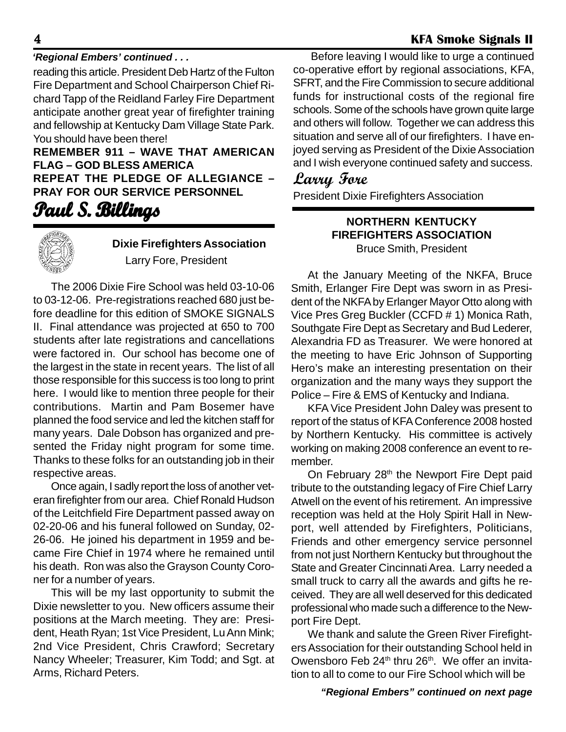#### *'Regional Embers' continued . . .*

reading this article. President Deb Hartz of the Fulton Fire Department and School Chairperson Chief Richard Tapp of the Reidland Farley Fire Department anticipate another great year of firefighter training and fellowship at Kentucky Dam Village State Park. You should have been there!

**REMEMBER 911 – WAVE THAT AMERICAN FLAG – GOD BLESS AMERICA REPEAT THE PLEDGE OF ALLEGIANCE – PRAY FOR OUR SERVICE PERSONNEL**

# **Paul S. Billings . Billings**



# **Dixie Firefighters Association**

Larry Fore, President

The 2006 Dixie Fire School was held 03-10-06 to 03-12-06. Pre-registrations reached 680 just before deadline for this edition of SMOKE SIGNALS II. Final attendance was projected at 650 to 700 students after late registrations and cancellations were factored in. Our school has become one of the largest in the state in recent years. The list of all those responsible for this success is too long to print here. I would like to mention three people for their contributions. Martin and Pam Bosemer have planned the food service and led the kitchen staff for many years. Dale Dobson has organized and presented the Friday night program for some time. Thanks to these folks for an outstanding job in their respective areas.

Once again, I sadly report the loss of another veteran firefighter from our area. Chief Ronald Hudson of the Leitchfield Fire Department passed away on 02-20-06 and his funeral followed on Sunday, 02- 26-06. He joined his department in 1959 and became Fire Chief in 1974 where he remained until his death. Ron was also the Grayson County Coroner for a number of years.

This will be my last opportunity to submit the Dixie newsletter to you. New officers assume their positions at the March meeting. They are: President, Heath Ryan; 1st Vice President, Lu Ann Mink; 2nd Vice President, Chris Crawford; Secretary Nancy Wheeler; Treasurer, Kim Todd; and Sgt. at Arms, Richard Peters.

Before leaving I would like to urge a continued co-operative effort by regional associations, KFA, SFRT, and the Fire Commission to secure additional funds for instructional costs of the regional fire schools. Some of the schools have grown quite large and others will follow. Together we can address this situation and serve all of our firefighters. I have enjoyed serving as President of the Dixie Association and I wish everyone continued safety and success.

# **Larry Fore**

President Dixie Firefighters Association

#### **NORTHERN KENTUCKY FIREFIGHTERS ASSOCIATION** Bruce Smith, President

At the January Meeting of the NKFA, Bruce Smith, Erlanger Fire Dept was sworn in as President of the NKFA by Erlanger Mayor Otto along with Vice Pres Greg Buckler (CCFD # 1) Monica Rath, Southgate Fire Dept as Secretary and Bud Lederer, Alexandria FD as Treasurer. We were honored at the meeting to have Eric Johnson of Supporting Hero's make an interesting presentation on their organization and the many ways they support the Police – Fire & EMS of Kentucky and Indiana.

KFA Vice President John Daley was present to report of the status of KFA Conference 2008 hosted by Northern Kentucky. His committee is actively working on making 2008 conference an event to remember.

On February 28<sup>th</sup> the Newport Fire Dept paid tribute to the outstanding legacy of Fire Chief Larry Atwell on the event of his retirement. An impressive reception was held at the Holy Spirit Hall in Newport, well attended by Firefighters, Politicians, Friends and other emergency service personnel from not just Northern Kentucky but throughout the State and Greater Cincinnati Area. Larry needed a small truck to carry all the awards and gifts he received. They are all well deserved for this dedicated professional who made such a difference to the Newport Fire Dept.

We thank and salute the Green River Firefighters Association for their outstanding School held in Owensboro Feb 24<sup>th</sup> thru 26<sup>th</sup>. We offer an invitation to all to come to our Fire School which will be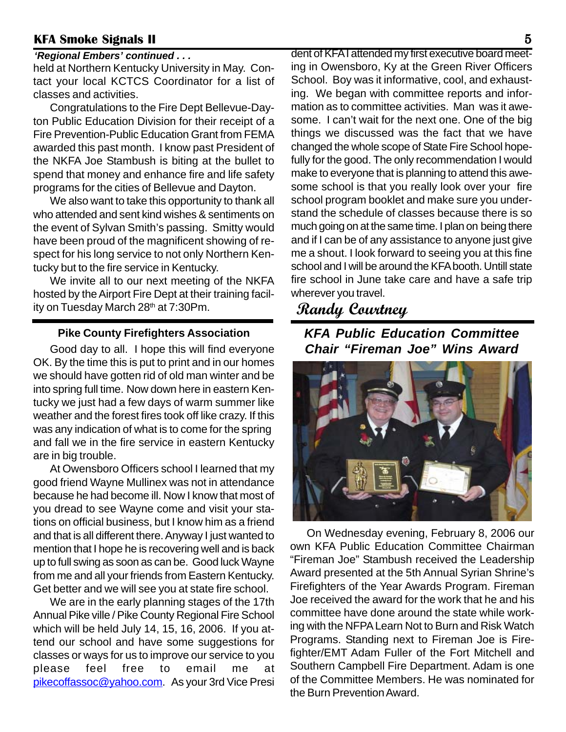#### *'Regional Embers' continued . . .*

held at Northern Kentucky University in May. Contact your local KCTCS Coordinator for a list of classes and activities.

Congratulations to the Fire Dept Bellevue-Dayton Public Education Division for their receipt of a Fire Prevention-Public Education Grant from FEMA awarded this past month. I know past President of the NKFA Joe Stambush is biting at the bullet to spend that money and enhance fire and life safety programs for the cities of Bellevue and Dayton.

We also want to take this opportunity to thank all who attended and sent kind wishes & sentiments on the event of Sylvan Smith's passing. Smitty would have been proud of the magnificent showing of respect for his long service to not only Northern Kentucky but to the fire service in Kentucky.

We invite all to our next meeting of the NKFA hosted by the Airport Fire Dept at their training facility on Tuesday March 28<sup>th</sup> at 7:30Pm.

#### **Pike County Firefighters Association**

Good day to all. I hope this will find everyone OK. By the time this is put to print and in our homes we should have gotten rid of old man winter and be into spring full time. Now down here in eastern Kentucky we just had a few days of warm summer like weather and the forest fires took off like crazy. If this was any indication of what is to come for the spring and fall we in the fire service in eastern Kentucky are in big trouble.

At Owensboro Officers school I learned that my good friend Wayne Mullinex was not in attendance because he had become ill. Now I know that most of you dread to see Wayne come and visit your stations on official business, but I know him as a friend and that is all different there. Anyway I just wanted to mention that I hope he is recovering well and is back up to full swing as soon as can be. Good luck Wayne from me and all your friends from Eastern Kentucky. Get better and we will see you at state fire school.

We are in the early planning stages of the 17th Annual Pike ville / Pike County Regional Fire School which will be held July 14, 15, 16, 2006. If you attend our school and have some suggestions for classes or ways for us to improve our service to you please feel free to email me at pikecoffassoc@yahoo.com. As your 3rd Vice Presi

dent of KFA I attended my first executive board meeting in Owensboro, Ky at the Green River Officers School. Boy was it informative, cool, and exhausting. We began with committee reports and information as to committee activities. Man was it awesome. I can't wait for the next one. One of the big things we discussed was the fact that we have changed the whole scope of State Fire School hopefully for the good. The only recommendation I would make to everyone that is planning to attend this awesome school is that you really look over your fire school program booklet and make sure you understand the schedule of classes because there is so much going on at the same time. I plan on being there and if I can be of any assistance to anyone just give me a shout. I look forward to seeing you at this fine school and I will be around the KFA booth. Untill state fire school in June take care and have a safe trip wherever you travel.

# **Randy Courtney**

*KFA Public Education Committee Chair "Fireman Joe" Wins Award*



On Wednesday evening, February 8, 2006 our own KFA Public Education Committee Chairman "Fireman Joe" Stambush received the Leadership Award presented at the 5th Annual Syrian Shrine's Firefighters of the Year Awards Program. Fireman Joe received the award for the work that he and his committee have done around the state while working with the NFPA Learn Not to Burn and Risk Watch Programs. Standing next to Fireman Joe is Firefighter/EMT Adam Fuller of the Fort Mitchell and Southern Campbell Fire Department. Adam is one of the Committee Members. He was nominated for the Burn Prevention Award.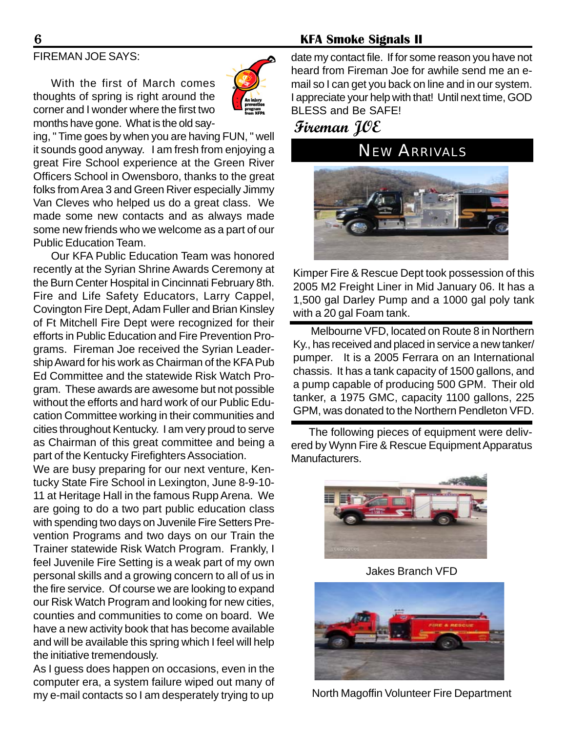# FIREMAN JOE SAYS:

With the first of March comes thoughts of spring is right around the corner and I wonder where the first two months have gone. What is the old say-



ing, " Time goes by when you are having FUN, " well it sounds good anyway. I am fresh from enjoying a great Fire School experience at the Green River Officers School in Owensboro, thanks to the great folks from Area 3 and Green River especially Jimmy Van Cleves who helped us do a great class. We made some new contacts and as always made some new friends who we welcome as a part of our Public Education Team.

Our KFA Public Education Team was honored recently at the Syrian Shrine Awards Ceremony at the Burn Center Hospital in Cincinnati February 8th. Fire and Life Safety Educators, Larry Cappel, Covington Fire Dept, Adam Fuller and Brian Kinsley of Ft Mitchell Fire Dept were recognized for their efforts in Public Education and Fire Prevention Programs. Fireman Joe received the Syrian Leadership Award for his work as Chairman of the KFA Pub Ed Committee and the statewide Risk Watch Program. These awards are awesome but not possible without the efforts and hard work of our Public Education Committee working in their communities and cities throughout Kentucky. I am very proud to serve as Chairman of this great committee and being a part of the Kentucky Firefighters Association.

We are busy preparing for our next venture, Kentucky State Fire School in Lexington, June 8-9-10- 11 at Heritage Hall in the famous Rupp Arena. We are going to do a two part public education class with spending two days on Juvenile Fire Setters Prevention Programs and two days on our Train the Trainer statewide Risk Watch Program. Frankly, I feel Juvenile Fire Setting is a weak part of my own personal skills and a growing concern to all of us in the fire service. Of course we are looking to expand our Risk Watch Program and looking for new cities, counties and communities to come on board. We have a new activity book that has become available and will be available this spring which I feel will help the initiative tremendously.

As I guess does happen on occasions, even in the computer era, a system failure wiped out many of my e-mail contacts so I am desperately trying to up

date my contact file. If for some reason you have not heard from Fireman Joe for awhile send me an email so I can get you back on line and in our system. I appreciate your help with that! Until next time, GOD BLESS and Be SAFE!

**Fireman JOE**

*NEW ARRIVALS*



Kimper Fire & Rescue Dept took possession of this 2005 M2 Freight Liner in Mid January 06. It has a 1,500 gal Darley Pump and a 1000 gal poly tank with a 20 gal Foam tank.

Melbourne VFD, located on Route 8 in Northern Ky., has received and placed in service a new tanker/ pumper. It is a 2005 Ferrara on an International chassis. It has a tank capacity of 1500 gallons, and a pump capable of producing 500 GPM. Their old tanker, a 1975 GMC, capacity 1100 gallons, 225 GPM, was donated to the Northern Pendleton VFD.

The following pieces of equipment were delivered by Wynn Fire & Rescue Equipment Apparatus Manufacturers.



Jakes Branch VFD



North Magoffin Volunteer Fire Department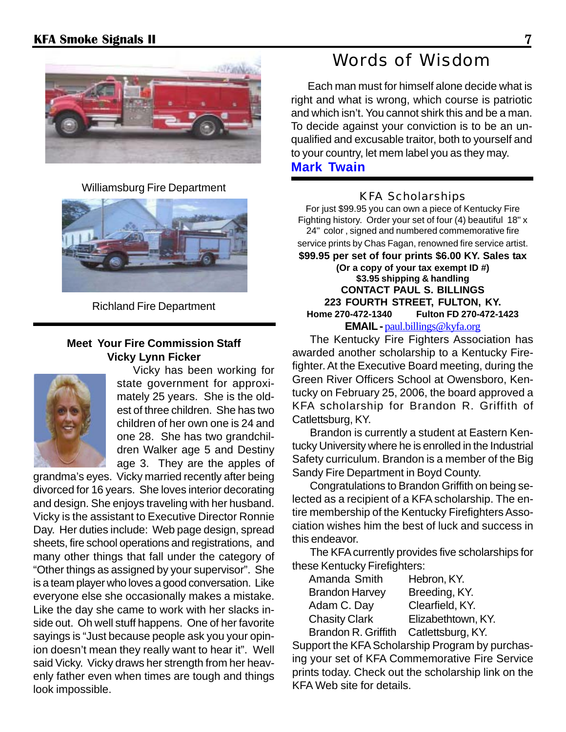

Williamsburg Fire Department KFA Scholarships



Richland Fire Department

#### **Meet Your Fire Commission Staff Vicky Lynn Ficker**



Vicky has been working for state government for approximately 25 years. She is the oldest of three children. She has two children of her own one is 24 and one 28. She has two grandchildren Walker age 5 and Destiny age 3. They are the apples of

grandma's eyes. Vicky married recently after being divorced for 16 years. She loves interior decorating and design. She enjoys traveling with her husband. Vicky is the assistant to Executive Director Ronnie Day. Her duties include: Web page design, spread sheets, fire school operations and registrations, and many other things that fall under the category of "Other things as assigned by your supervisor". She is a team player who loves a good conversation. Like everyone else she occasionally makes a mistake. Like the day she came to work with her slacks inside out. Oh well stuff happens. One of her favorite sayings is "Just because people ask you your opinion doesn't mean they really want to hear it". Well said Vicky. Vicky draws her strength from her heavenly father even when times are tough and things look impossible.

# Words of Wisdom

Each man must for himself alone decide what is right and what is wrong, which course is patriotic and which isn't. You cannot shirk this and be a man. To decide against your conviction is to be an unqualified and excusable traitor, both to yourself and to your country, let mem label you as they may. **Mark Twain**

For just \$99.95 you can own a piece of Kentucky Fire Fighting history. Order your set of four (4) beautiful 18" x 24" color , signed and numbered commemorative fire service prints by Chas Fagan, renowned fire service artist. **\$99.95 per set of four prints \$6.00 KY. Sales tax (Or a copy of your tax exempt ID #) \$3.95 shipping & handling CONTACT PAUL S. BILLINGS 223 FOURTH STREET, FULTON, KY. Home 270-472-1340 Fulton FD 270-472-1423 EMAIL** - paul.billings@kyfa.org

The Kentucky Fire Fighters Association has awarded another scholarship to a Kentucky Firefighter. At the Executive Board meeting, during the Green River Officers School at Owensboro, Kentucky on February 25, 2006, the board approved a KFA scholarship for Brandon R. Griffith of Catlettsburg, KY.

Brandon is currently a student at Eastern Kentucky University where he is enrolled in the Industrial Safety curriculum. Brandon is a member of the Big Sandy Fire Department in Boyd County.

Congratulations to Brandon Griffith on being selected as a recipient of a KFA scholarship. The entire membership of the Kentucky Firefighters Association wishes him the best of luck and success in this endeavor.

The KFA currently provides five scholarships for these Kentucky Firefighters:

| Amanda Smith          | Hebron, KY.        |
|-----------------------|--------------------|
| <b>Brandon Harvey</b> | Breeding, KY.      |
| Adam C. Day           | Clearfield, KY.    |
| <b>Chasity Clark</b>  | Elizabethtown, KY. |
| Brandon R. Griffith   | Catlettsburg, KY.  |

Support the KFA Scholarship Program by purchasing your set of KFA Commemorative Fire Service prints today. Check out the scholarship link on the KFA Web site for details.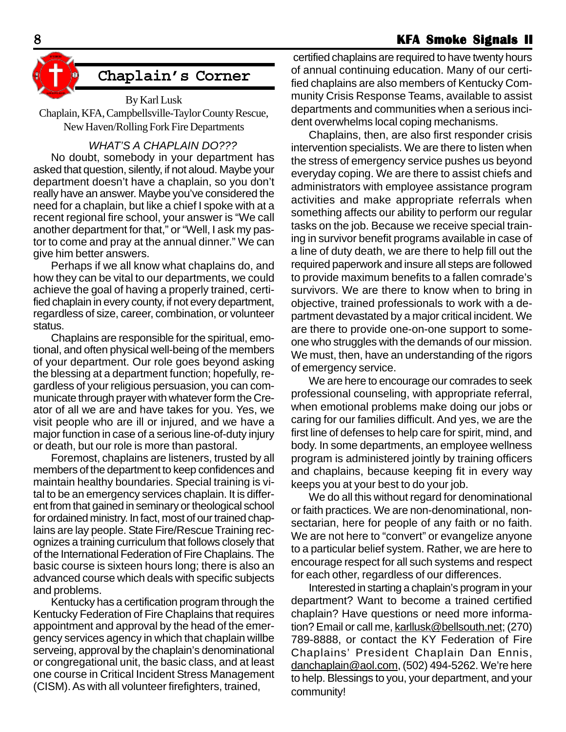#### 8 **KFA Smoke Signals II KFA Smoke II**



# **Chaplain's Corner**

By Karl Lusk Chaplain, KFA, Campbellsville-Taylor County Rescue, New Haven/Rolling Fork Fire Departments

#### *WHAT'S A CHAPLAIN DO???*

No doubt, somebody in your department has asked that question, silently, if not aloud. Maybe your department doesn't have a chaplain, so you don't really have an answer. Maybe you've considered the need for a chaplain, but like a chief I spoke with at a recent regional fire school, your answer is "We call another department for that," or "Well, I ask my pastor to come and pray at the annual dinner." We can give him better answers.

Perhaps if we all know what chaplains do, and how they can be vital to our departments, we could achieve the goal of having a properly trained, certified chaplain in every county, if not every department, regardless of size, career, combination, or volunteer status.

Chaplains are responsible for the spiritual, emotional, and often physical well-being of the members of your department. Our role goes beyond asking the blessing at a department function; hopefully, regardless of your religious persuasion, you can communicate through prayer with whatever form the Creator of all we are and have takes for you. Yes, we visit people who are ill or injured, and we have a major function in case of a serious line-of-duty injury or death, but our role is more than pastoral.

Foremost, chaplains are listeners, trusted by all members of the department to keep confidences and maintain healthy boundaries. Special training is vital to be an emergency services chaplain. It is different from that gained in seminary or theological school for ordained ministry. In fact, most of our trained chaplains are lay people. State Fire/Rescue Training recognizes a training curriculum that follows closely that of the International Federation of Fire Chaplains. The basic course is sixteen hours long; there is also an advanced course which deals with specific subjects and problems.

Kentucky has a certification program through the Kentucky Federation of Fire Chaplains that requires appointment and approval by the head of the emergency services agency in which that chaplain willbe serveing, approval by the chaplain's denominational or congregational unit, the basic class, and at least one course in Critical Incident Stress Management (CISM). As with all volunteer firefighters, trained,

 certified chaplains are required to have twenty hours of annual continuing education. Many of our certified chaplains are also members of Kentucky Community Crisis Response Teams, available to assist departments and communities when a serious incident overwhelms local coping mechanisms.

Chaplains, then, are also first responder crisis intervention specialists. We are there to listen when the stress of emergency service pushes us beyond everyday coping. We are there to assist chiefs and administrators with employee assistance program activities and make appropriate referrals when something affects our ability to perform our regular tasks on the job. Because we receive special training in survivor benefit programs available in case of a line of duty death, we are there to help fill out the required paperwork and insure all steps are followed to provide maximum benefits to a fallen comrade's survivors. We are there to know when to bring in objective, trained professionals to work with a department devastated by a major critical incident. We are there to provide one-on-one support to someone who struggles with the demands of our mission. We must, then, have an understanding of the rigors of emergency service.

We are here to encourage our comrades to seek professional counseling, with appropriate referral, when emotional problems make doing our jobs or caring for our families difficult. And yes, we are the first line of defenses to help care for spirit, mind, and body. In some departments, an employee wellness program is administered jointly by training officers and chaplains, because keeping fit in every way keeps you at your best to do your job.

We do all this without regard for denominational or faith practices. We are non-denominational, nonsectarian, here for people of any faith or no faith. We are not here to "convert" or evangelize anyone to a particular belief system. Rather, we are here to encourage respect for all such systems and respect for each other, regardless of our differences.

Interested in starting a chaplain's program in your department? Want to become a trained certified chaplain? Have questions or need more information? Email or call me, karllusk@bellsouth.net; (270) 789-8888, or contact the KY Federation of Fire Chaplains' President Chaplain Dan Ennis, danchaplain@aol.com, (502) 494-5262. We're here to help. Blessings to you, your department, and your community!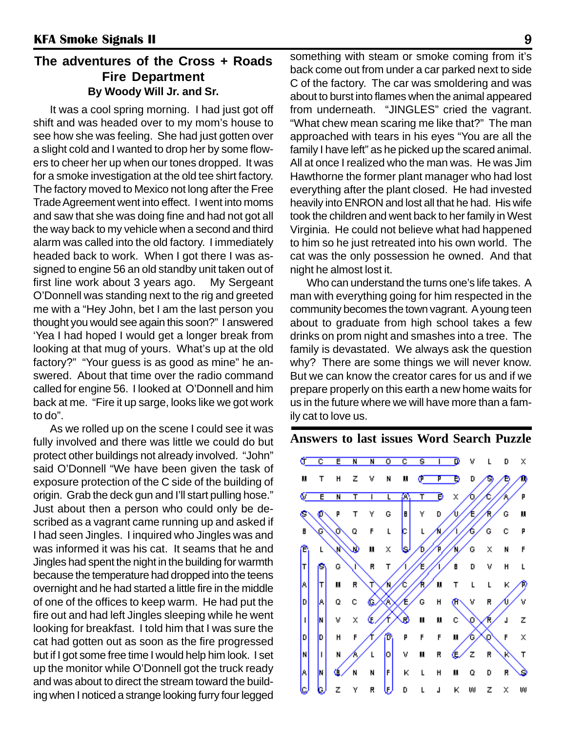# **The adventures of the Cross + Roads Fire Department By Woody Will Jr. and Sr.**

It was a cool spring morning. I had just got off shift and was headed over to my mom's house to see how she was feeling. She had just gotten over a slight cold and I wanted to drop her by some flowers to cheer her up when our tones dropped. It was for a smoke investigation at the old tee shirt factory. The factory moved to Mexico not long after the Free Trade Agreement went into effect. I went into moms and saw that she was doing fine and had not got all the way back to my vehicle when a second and third alarm was called into the old factory. I immediately headed back to work. When I got there I was assigned to engine 56 an old standby unit taken out of first line work about 3 years ago. My Sergeant O'Donnell was standing next to the rig and greeted me with a "Hey John, bet I am the last person you thought you would see again this soon?" I answered 'Yea I had hoped I would get a longer break from looking at that mug of yours. What's up at the old factory?" "Your guess is as good as mine" he answered. About that time over the radio command called for engine 56. I looked at O'Donnell and him back at me. "Fire it up sarge, looks like we got work to do".

As we rolled up on the scene I could see it was fully involved and there was little we could do but protect other buildings not already involved. "John" said O'Donnell "We have been given the task of exposure protection of the C side of the building of origin. Grab the deck gun and I'll start pulling hose." Just about then a person who could only be described as a vagrant came running up and asked if I had seen Jingles. I inquired who Jingles was and was informed it was his cat. It seams that he and Jingles had spent the night in the building for warmth because the temperature had dropped into the teens overnight and he had started a little fire in the middle of one of the offices to keep warm. He had put the fire out and had left Jingles sleeping while he went looking for breakfast. I told him that I was sure the cat had gotten out as soon as the fire progressed but if I got some free time I would help him look. I set up the monitor while O'Donnell got the truck ready and was about to direct the stream toward the building when I noticed a strange looking furry four legged

something with steam or smoke coming from it's back come out from under a car parked next to side C of the factory. The car was smoldering and was about to burst into flames when the animal appeared from underneath. "JINGLES" cried the vagrant. "What chew mean scaring me like that?" The man approached with tears in his eyes "You are all the family I have left" as he picked up the scared animal. All at once I realized who the man was. He was Jim Hawthorne the former plant manager who had lost everything after the plant closed. He had invested heavily into ENRON and lost all that he had. His wife took the children and went back to her family in West Virginia. He could not believe what had happened to him so he just retreated into his own world. The cat was the only possession he owned. And that night he almost lost it.

Who can understand the turns one's life takes. A man with everything going for him respected in the community becomes the town vagrant. A young teen about to graduate from high school takes a few drinks on prom night and smashes into a tree. The family is devastated. We always ask the question why? There are some things we will never know. But we can know the creator cares for us and if we prepare properly on this earth a new home waits for us in the future where we will have more than a family cat to love us.

# **Answers to last issues Word Search Puzzle**

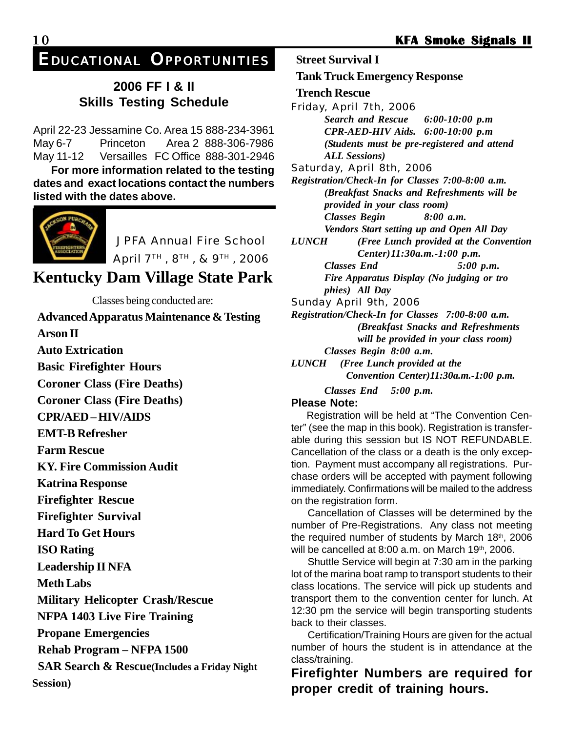*EDUCATIONAL OPPORTUNITIES*

# **2006 FF I & II Skills Testing Schedule**

April 22-23 Jessamine Co. Area 15 888-234-3961 May 6-7 Princeton Area 2 888-306-7986 May 11-12 Versailles FC Office 888-301-2946

**For more information related to the testing dates and exact locations contact the numbers listed with the dates above.**



JPFA Annual Fire School

April 7TH , 8TH , & 9TH , 2006

**Kentucky Dam Village State Park**

Classes being conducted are:

**Advanced Apparatus Maintenance & Testing Arson II Auto Extrication Basic Firefighter Hours Coroner Class (Fire Deaths) Coroner Class (Fire Deaths) CPR/AED – HIV/AIDS EMT-B Refresher Farm Rescue KY. Fire Commission Audit Katrina Response Firefighter Rescue Firefighter Survival Hard To Get Hours ISO Rating Leadership II NFA Meth Labs Military Helicopter Crash/Rescue NFPA 1403 Live Fire Training Propane Emergencies Rehab Program – NFPA 1500 SAR Search & Rescue(Includes a Friday Night Session)**

**Street Survival I Tank Truck Emergency Response Trench Rescue** Friday, April 7th, 2006 *Search and Rescue 6:00-10:00 p.m CPR-AED-HIV Aids. 6:00-10:00 p.m (Students must be pre-registered and attend ALL Sessions)* Saturday, April 8th, 2006 *Registration/Check-In for Classes 7:00-8:00 a.m. (Breakfast Snacks and Refreshments will be provided in your class room) Classes Begin 8:00 a.m. Vendors Start setting up and Open All Day LUNCH (Free Lunch provided at the Convention Center)11:30a.m.-1:00 p.m. Classes End 5:00 p.m. Fire Apparatus Display (No judging or tro phies) All Day* Sunday April 9th, 2006 *Registration/Check-In for Classes 7:00-8:00 a.m. (Breakfast Snacks and Refreshments will be provided in your class room) Classes Begin 8:00 a.m.*

*LUNCH (Free Lunch provided at the Convention Center)11:30a.m.-1:00 p.m.*

*Classes End 5:00 p.m.*

#### **Please Note:**

Registration will be held at "The Convention Center" (see the map in this book). Registration is transferable during this session but IS NOT REFUNDABLE. Cancellation of the class or a death is the only exception. Payment must accompany all registrations. Purchase orders will be accepted with payment following immediately. Confirmations will be mailed to the address on the registration form.

Cancellation of Classes will be determined by the number of Pre-Registrations. Any class not meeting the required number of students by March  $18<sup>th</sup>$ , 2006 will be cancelled at 8:00 a.m. on March 19th, 2006.

Shuttle Service will begin at 7:30 am in the parking lot of the marina boat ramp to transport students to their class locations. The service will pick up students and transport them to the convention center for lunch. At 12:30 pm the service will begin transporting students back to their classes.

Certification/Training Hours are given for the actual number of hours the student is in attendance at the class/training.

**Firefighter Numbers are required for proper credit of training hours.**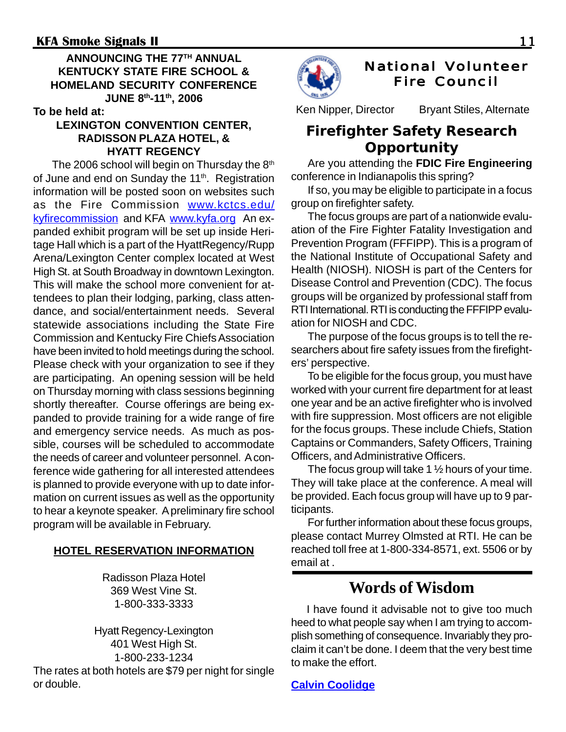# **ANNOUNCING THE 77TH ANNUAL KENTUCKY STATE FIRE SCHOOL & HOMELAND SECURITY CONFERENCE JUNE 8th-11th, 2006**

**To be held at:**

# **LEXINGTON CONVENTION CENTER, RADISSON PLAZA HOTEL, & HYATT REGENCY**

The 2006 school will begin on Thursday the  $8<sup>th</sup>$ of June and end on Sunday the 11<sup>th</sup>. Registration information will be posted soon on websites such as the Fire Commission www.kctcs.edu/ kyfirecommission and KFA www.kyfa.org An expanded exhibit program will be set up inside Heritage Hall which is a part of the HyattRegency/Rupp Arena/Lexington Center complex located at West High St. at South Broadway in downtown Lexington. This will make the school more convenient for attendees to plan their lodging, parking, class attendance, and social/entertainment needs. Several statewide associations including the State Fire Commission and Kentucky Fire Chiefs Association have been invited to hold meetings during the school. Please check with your organization to see if they are participating. An opening session will be held on Thursday morning with class sessions beginning shortly thereafter. Course offerings are being expanded to provide training for a wide range of fire and emergency service needs. As much as possible, courses will be scheduled to accommodate the needs of career and volunteer personnel. A conference wide gathering for all interested attendees is planned to provide everyone with up to date information on current issues as well as the opportunity to hear a keynote speaker. A preliminary fire school program will be available in February.

# **HOTEL RESERVATION INFORMATION**

Radisson Plaza Hotel 369 West Vine St. 1-800-333-3333

Hyatt Regency-Lexington 401 West High St. 1-800-233-1234 The rates at both hotels are \$79 per night for single or double.



# **National Volunteer Fire Council**

Ken Nipper, Director Bryant Stiles, Alternate

# **Firefighter Safety Research Opportunity**

Are you attending the **FDIC Fire Engineering** conference in Indianapolis this spring?

If so, you may be eligible to participate in a focus group on firefighter safety.

The focus groups are part of a nationwide evaluation of the Fire Fighter Fatality Investigation and Prevention Program (FFFIPP). This is a program of the National Institute of Occupational Safety and Health (NIOSH). NIOSH is part of the Centers for Disease Control and Prevention (CDC). The focus groups will be organized by professional staff from RTI International. RTI is conducting the FFFIPP evaluation for NIOSH and CDC.

The purpose of the focus groups is to tell the researchers about fire safety issues from the firefighters' perspective.

To be eligible for the focus group, you must have worked with your current fire department for at least one year and be an active firefighter who is involved with fire suppression. Most officers are not eligible for the focus groups. These include Chiefs, Station Captains or Commanders, Safety Officers, Training Officers, and Administrative Officers.

The focus group will take 1  $\frac{1}{2}$  hours of your time. They will take place at the conference. A meal will be provided. Each focus group will have up to 9 participants.

For further information about these focus groups, please contact Murrey Olmsted at RTI. He can be reached toll free at 1-800-334-8571, ext. 5506 or by email at .

# **Words of Wisdom**

I have found it advisable not to give too much heed to what people say when I am trying to accomplish something of consequence. Invariably they proclaim it can't be done. I deem that the very best time to make the effort.

**Calvin Coolidge**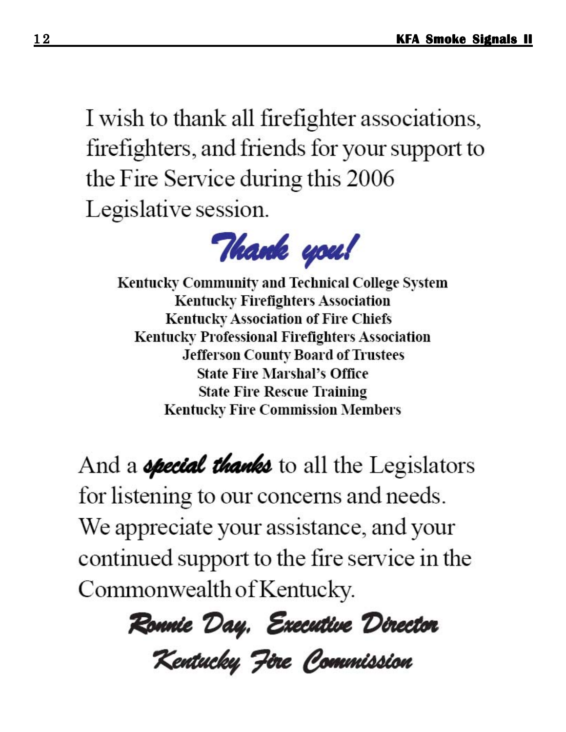I wish to thank all firefighter associations, firefighters, and friends for your support to the Fire Service during this 2006 Legislative session.



**Kentucky Community and Technical College System Kentucky Firefighters Association Kentucky Association of Fire Chiefs Kentucky Professional Firefighters Association Jefferson County Board of Trustees State Fire Marshal's Office State Fire Rescue Training Kentucky Fire Commission Members** 

And a *opecial thanks* to all the Legislators for listening to our concerns and needs. We appreciate your assistance, and your continued support to the fire service in the Commonwealth of Kentucky.

Ronnie Day, Executive Director

Kentucky Fire Commission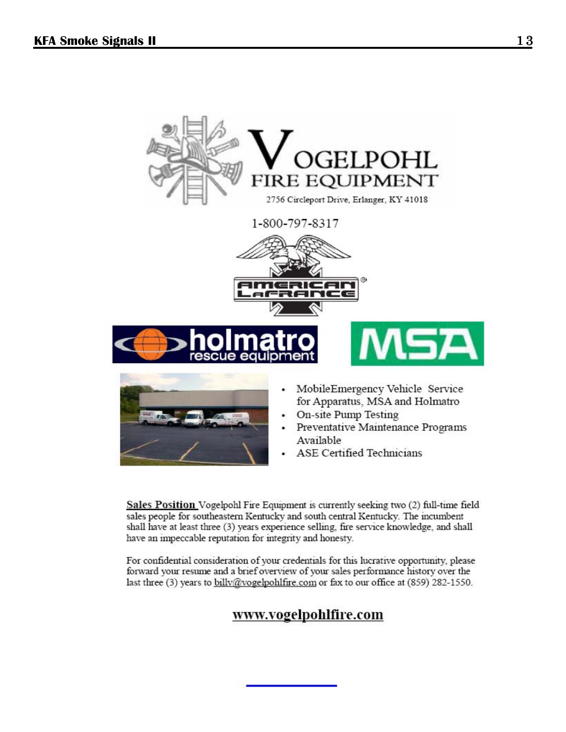

ASE Certified Technicians

Sales Position Vogelpohl Fire Equipment is currently seeking two (2) full-time field sales people for southeastern Kentucky and south central Kentucky. The incumbent shall have at least three (3) years experience selling, fire service knowledge, and shall have an impeccable reputation for integrity and honesty.

For confidential consideration of your credentials for this lucrative opportunity, please forward your resume and a brief overview of your sales performance history over the last three (3) years to billy@vogelpohlfire.com or fax to our office at (859) 282-1550.

# www.vogelpohlfire.com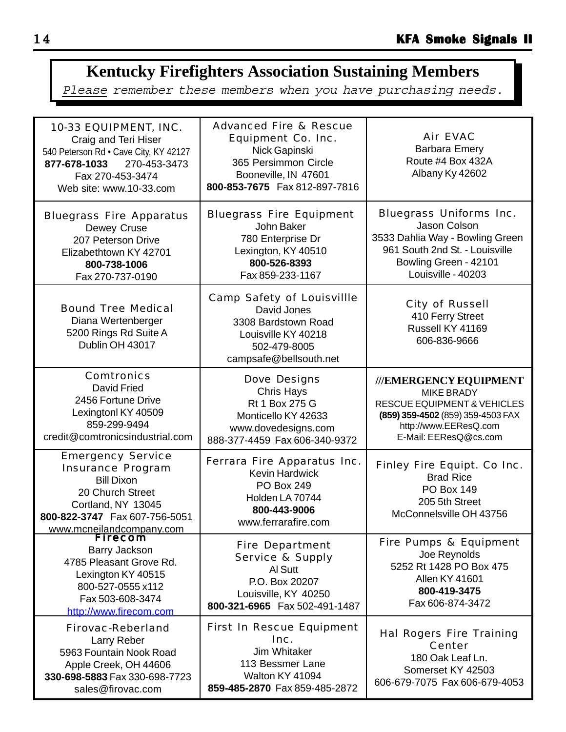# **Kentucky Firefighters Association Sustaining Members**

Please remember these members when you have purchasing needs.

| 10-33 EQUIPMENT, INC.<br>Craig and Teri Hiser<br>540 Peterson Rd · Cave City, KY 42127<br>270-453-3473<br>877-678-1033<br>Fax 270-453-3474<br>Web site: www.10-33.com             | <b>Advanced Fire &amp; Rescue</b><br><b>Equipment Co. Inc.</b><br>Nick Gapinski<br>365 Persimmon Circle<br>Booneville, IN 47601<br>800-853-7675  Fax 812-897-7816 | <b>Air EVAC</b><br><b>Barbara Emery</b><br>Route #4 Box 432A<br>Albany Ky 42602                                                                                              |
|-----------------------------------------------------------------------------------------------------------------------------------------------------------------------------------|-------------------------------------------------------------------------------------------------------------------------------------------------------------------|------------------------------------------------------------------------------------------------------------------------------------------------------------------------------|
| <b>Bluegrass Fire Apparatus</b><br>Dewey Cruse<br>207 Peterson Drive<br>Elizabethtown KY 42701<br>800-738-1006<br>Fax 270-737-0190                                                | <b>Bluegrass Fire Equipment</b><br>John Baker<br>780 Enterprise Dr<br>Lexington, KY 40510<br>800-526-8393<br>Fax 859-233-1167                                     | <b>Bluegrass Uniforms Inc.</b><br>Jason Colson<br>3533 Dahlia Way - Bowling Green<br>961 South 2nd St. - Louisville<br>Bowling Green - 42101<br>Louisville - 40203           |
| <b>Bound Tree Medical</b><br>Diana Wertenberger<br>5200 Rings Rd Suite A<br>Dublin OH 43017                                                                                       | <b>Camp Safety of Louisvillle</b><br>David Jones<br>3308 Bardstown Road<br>Louisville KY 40218<br>502-479-8005<br>campsafe@bellsouth.net                          | <b>City of Russell</b><br>410 Ferry Street<br>Russell KY 41169<br>606-836-9666                                                                                               |
| <b>Comtronics</b><br><b>David Fried</b><br>2456 Fortune Drive<br>Lexingtonl KY 40509<br>859-299-9494<br>credit@comtronicsindustrial.com                                           | <b>Dove Designs</b><br><b>Chris Hays</b><br>Rt 1 Box 275 G<br>Monticello KY 42633<br>www.dovedesigns.com<br>888-377-4459 Fax 606-340-9372                         | ///EMERGENCY EQUIPMENT<br><b>MIKE BRADY</b><br><b>RESCUE EQUIPMENT &amp; VEHICLES</b><br>(859) 359-4502 (859) 359-4503 FAX<br>http://www.EEResQ.com<br>E-Mail: EEResQ@cs.com |
| <b>Emergency Service</b><br><b>Insurance Program</b><br><b>Bill Dixon</b><br>20 Church Street<br>Cortland, NY 13045<br>800-822-3747  Fax 607-756-5051<br>www.mcneilandcompany.com | Ferrara Fire Apparatus Inc.<br><b>Kevin Hardwick</b><br><b>PO Box 249</b><br>Holden LA 70744<br>800-443-9006<br>www.ferrarafire.com                               | <b>Finley Fire Equipt. Co Inc.</b><br><b>Brad Rice</b><br><b>PO Box 149</b><br>205 5th Street<br>McConnelsville OH 43756                                                     |
| <b>Firecom</b><br>Barry Jackson<br>4785 Pleasant Grove Rd.<br>Lexington KY 40515<br>800-527-0555 x112<br>Fax 503-608-3474<br>http://www.firecom.com                               | <b>Fire Department</b><br><b>Service &amp; Supply</b><br>Al Sutt<br>P.O. Box 20207<br>Louisville, KY 40250<br>800-321-6965 Fax 502-491-1487                       | <b>Fire Pumps &amp; Equipment</b><br>Joe Reynolds<br>5252 Rt 1428 PO Box 475<br><b>Allen KY 41601</b><br>800-419-3475<br>Fax 606-874-3472                                    |
| <b>Firovac-Reberland</b><br>Larry Reber<br>5963 Fountain Nook Road<br>Apple Creek, OH 44606<br>330-698-5883 Fax 330-698-7723<br>sales@firovac.com                                 | <b>First In Rescue Equipment</b><br>Inc.<br>Jim Whitaker<br>113 Bessmer Lane<br>Walton KY 41094<br>859-485-2870 Fax 859-485-2872                                  | <b>Hal Rogers Fire Training</b><br><b>Center</b><br>180 Oak Leaf Ln.<br>Somerset KY 42503<br>606-679-7075 Fax 606-679-4053                                                   |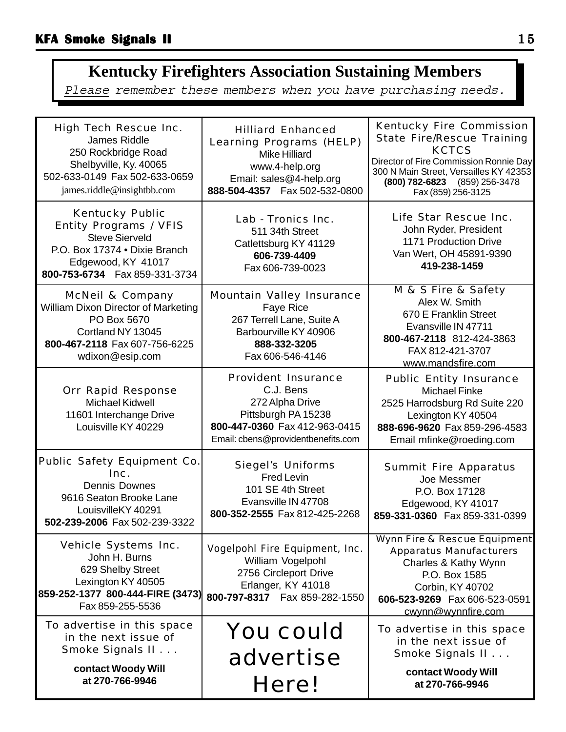# **Kentucky Firefighters Association Sustaining Members**

Please remember these members when you have purchasing needs.

| <b>High Tech Rescue Inc.</b><br>James Riddle<br>250 Rockbridge Road<br>Shelbyville, Ky. 40065<br>502-633-0149 Fax 502-633-0659<br>james.riddle@insightbb.com              | <b>Hilliard Enhanced</b><br><b>Learning Programs (HELP)</b><br><b>Mike Hilliard</b><br>www.4-help.org<br>Email: sales@4-help.org<br>888-504-4357  Fax 502-532-0800 | <b>Kentucky Fire Commission</b><br><b>State Fire/Rescue Training</b><br><b>KCTCS</b><br>Director of Fire Commission Ronnie Day<br>300 N Main Street, Versailles KY 42353<br>(800) 782-6823 (859) 256-3478<br>Fax (859) 256-3125 |
|---------------------------------------------------------------------------------------------------------------------------------------------------------------------------|--------------------------------------------------------------------------------------------------------------------------------------------------------------------|---------------------------------------------------------------------------------------------------------------------------------------------------------------------------------------------------------------------------------|
| <b>Kentucky Public</b><br><b>Entity Programs / VFIS</b><br><b>Steve Sierveld</b><br>P.O. Box 17374 . Dixie Branch<br>Edgewood, KY 41017<br>800-753-6734  Fax 859-331-3734 | Lab - Tronics Inc.<br>511 34th Street<br>Catlettsburg KY 41129<br>606-739-4409<br>Fax 606-739-0023                                                                 | Life Star Rescue Inc.<br>John Ryder, President<br>1171 Production Drive<br>Van Wert, OH 45891-9390<br>419-238-1459                                                                                                              |
| <b>McNeil &amp; Company</b><br>William Dixon Director of Marketing<br>PO Box 5670<br>Cortland NY 13045<br>800-467-2118 Fax 607-756-6225<br>wdixon@esip.com                | <b>Mountain Valley Insurance</b><br>Faye Rice<br>267 Terrell Lane, Suite A<br>Barbourville KY 40906<br>888-332-3205<br>Fax 606-546-4146                            | M & S Fire & Safety<br>Alex W. Smith<br>670 E Franklin Street<br>Evansville IN 47711<br>800-467-2118 812-424-3863<br>FAX 812-421-3707<br>www.mandsfire.com                                                                      |
| <b>Orr Rapid Response</b><br><b>Michael Kidwell</b><br>11601 Interchange Drive<br>Louisville KY 40229                                                                     | <b>Provident Insurance</b><br>C.J. Bens<br>272 Alpha Drive<br>Pittsburgh PA 15238<br>800-447-0360 Fax 412-963-0415<br>Email: cbens@providentbenefits.com           | <b>Public Entity Insurance</b><br><b>Michael Finke</b><br>2525 Harrodsburg Rd Suite 220<br>Lexington KY 40504<br>888-696-9620 Fax 859-296-4583<br>Email mfinke@roeding.com                                                      |
| Public Safety Equipment Co.<br>Inc.<br><b>Dennis Downes</b><br>9616 Seaton Brooke Lane<br>LouisvilleKY 40291<br>502-239-2006 Fax 502-239-3322                             | <b>Siegel's Uniforms</b><br><b>Fred Levin</b><br>101 SE 4th Street<br>Evansville IN 47708<br>800-352-2555 Fax 812-425-2268                                         | <b>Summit Fire Apparatus</b><br>Joe Messmer<br>P.O. Box 17128<br>Edgewood, KY 41017<br>859-331-0360 Fax 859-331-0399                                                                                                            |
| <b>Vehicle Systems Inc.</b><br>John H. Burns<br>629 Shelby Street<br>Lexington KY 40505<br>859-252-1377 800-444-FIRE (3473)<br>Fax 859-255-5536                           | <b>Vogelpohl Fire Equipment, Inc.</b><br>William Vogelpohl<br>2756 Circleport Drive<br>Erlanger, KY 41018<br>800-797-8317  Fax 859-282-1550                        | <b>Wynn Fire &amp; Rescue Equipment</b><br><b>Apparatus Manufacturers</b><br>Charles & Kathy Wynn<br>P.O. Box 1585<br>Corbin, KY 40702<br>606-523-9269 Fax 606-523-0591<br>cwynn@wynnfire.com                                   |
| To advertise in this space<br>in the next issue of<br>Smoke Signals II<br>contact Woody Will<br>at 270-766-9946                                                           | <b>You could</b><br>advertise<br>Here!                                                                                                                             | To advertise in this space<br>in the next issue of<br>Smoke Signals II<br>contact Woody Will<br>at 270-766-9946                                                                                                                 |